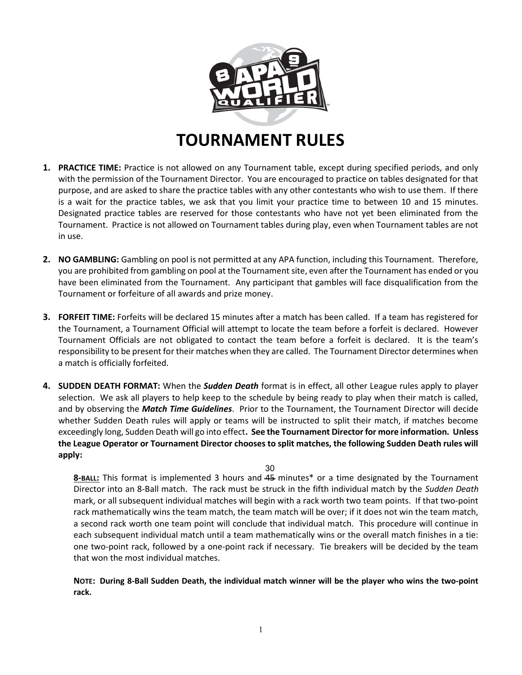

# TOURNAMENT RULES

- 1. PRACTICE TIME: Practice is not allowed on any Tournament table, except during specified periods, and only with the permission of the Tournament Director. You are encouraged to practice on tables designated for that purpose, and are asked to share the practice tables with any other contestants who wish to use them. If there is a wait for the practice tables, we ask that you limit your practice time to between 10 and 15 minutes. Designated practice tables are reserved for those contestants who have not yet been eliminated from the Tournament. Practice is not allowed on Tournament tables during play, even when Tournament tables are not in use.
- 2. NO GAMBLING: Gambling on pool is not permitted at any APA function, including this Tournament. Therefore, you are prohibited from gambling on pool at the Tournament site, even after the Tournament has ended or you have been eliminated from the Tournament. Any participant that gambles will face disqualification from the Tournament or forfeiture of all awards and prize money.
- 3. FORFEIT TIME: Forfeits will be declared 15 minutes after a match has been called. If a team has registered for the Tournament, a Tournament Official will attempt to locate the team before a forfeit is declared. However Tournament Officials are not obligated to contact the team before a forfeit is declared. It is the team's responsibility to be present for their matches when they are called. The Tournament Director determines when a match is officially forfeited.
- 4. SUDDEN DEATH FORMAT: When the *Sudden Death* format is in effect, all other League rules apply to player selection. We ask all players to help keep to the schedule by being ready to play when their match is called, and by observing the Match Time Guidelines. Prior to the Tournament, the Tournament Director will decide whether Sudden Death rules will apply or teams will be instructed to split their match, if matches become exceedingly long, Sudden Death will go into effect. See the Tournament Director for more information. Unless the League Operator or Tournament Director chooses to split matches, the following Sudden Death rules will apply:

30

8-BALL: This format is implemented 3 hours and 45 minutes\* or a time designated by the Tournament Director into an 8-Ball match. The rack must be struck in the fifth individual match by the Sudden Death mark, or all subsequent individual matches will begin with a rack worth two team points. If that two-point rack mathematically wins the team match, the team match will be over; if it does not win the team match, a second rack worth one team point will conclude that individual match. This procedure will continue in each subsequent individual match until a team mathematically wins or the overall match finishes in a tie: one two-point rack, followed by a one-point rack if necessary. Tie breakers will be decided by the team that won the most individual matches.

NOTE: During 8-Ball Sudden Death, the individual match winner will be the player who wins the two-point rack.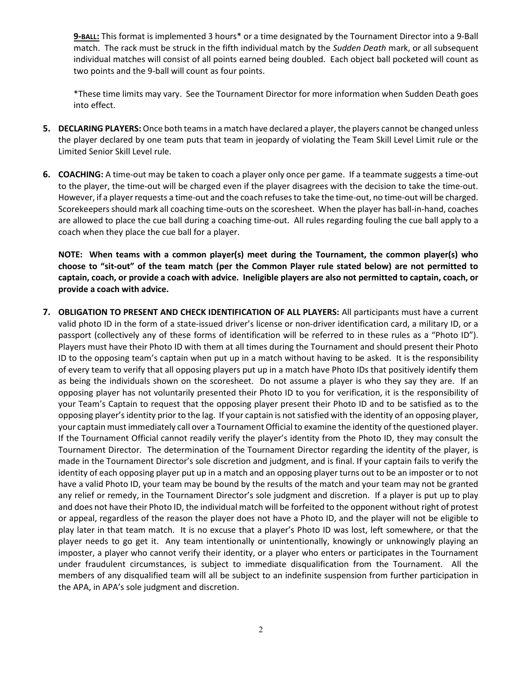9-BALL: This format is implemented 3 hours\* or a time designated by the Tournament Director into a 9-Ball match. The rack must be struck in the fifth individual match by the Sudden Death mark, or all subsequent individual matches will consist of all points earned being doubled. Each object ball pocketed will count as two points and the 9-ball will count as four points.

\*These time limits may vary. See the Tournament Director for more information when Sudden Death goes into effect.

- 5. DECLARING PLAYERS: Once both teams in a match have declared a player, the players cannot be changed unless the player declared by one team puts that team in jeopardy of violating the Team Skill Level Limit rule or the Limited Senior Skill Level rule.
- 6. COACHING: A time-out may be taken to coach a player only once per game. If a teammate suggests a time-out to the player, the time-out will be charged even if the player disagrees with the decision to take the time-out. However, if a player requests a time-out and the coach refuses to take the time-out, no time-out will be charged. Scorekeepers should mark all coaching time-outs on the scoresheet. When the player has ball-in-hand, coaches are allowed to place the cue ball during a coaching time-out. All rules regarding fouling the cue ball apply to a coach when they place the cue ball for a player.

NOTE: When teams with a common player(s) meet during the Tournament, the common player(s) who choose to "sit-out" of the team match (per the Common Player rule stated below) are not permitted to captain, coach, or provide a coach with advice. Ineligible players are also not permitted to captain, coach, or provide a coach with advice.

7. OBLIGATION TO PRESENT AND CHECK IDENTIFICATION OF ALL PLAYERS: All participants must have a current valid photo ID in the form of a state-issued driver's license or non-driver identification card, a military ID, or a passport (collectively any of these forms of identification will be referred to in these rules as a "Photo ID"). Players must have their Photo ID with them at all times during the Tournament and should present their Photo ID to the opposing team's captain when put up in a match without having to be asked. It is the responsibility of every team to verify that all opposing players put up in a match have Photo IDs that positively identify them as being the individuals shown on the scoresheet. Do not assume a player is who they say they are. If an opposing player has not voluntarily presented their Photo ID to you for verification, it is the responsibility of your Team's Captain to request that the opposing player present their Photo ID and to be satisfied as to the opposing player's identity prior to the lag. If your captain is not satisfied with the identity of an opposing player, your captain must immediately call over a Tournament Official to examine the identity of the questioned player. If the Tournament Official cannot readily verify the player's identity from the Photo ID, they may consult the Tournament Director. The determination of the Tournament Director regarding the identity of the player, is made in the Tournament Director's sole discretion and judgment, and is final. If your captain fails to verify the identity of each opposing player put up in a match and an opposing player turns out to be an imposter or to not have a valid Photo ID, your team may be bound by the results of the match and your team may not be granted any relief or remedy, in the Tournament Director's sole judgment and discretion. If a player is put up to play and does not have their Photo ID, the individual match will be forfeited to the opponent without right of protest or appeal, regardless of the reason the player does not have a Photo ID, and the player will not be eligible to play later in that team match. It is no excuse that a player's Photo ID was lost, left somewhere, or that the player needs to go get it. Any team intentionally or unintentionally, knowingly or unknowingly playing an imposter, a player who cannot verify their identity, or a player who enters or participates in the Tournament under fraudulent circumstances, is subject to immediate disqualification from the Tournament. All the members of any disqualified team will all be subject to an indefinite suspension from further participation in the APA, in APA's sole judgment and discretion.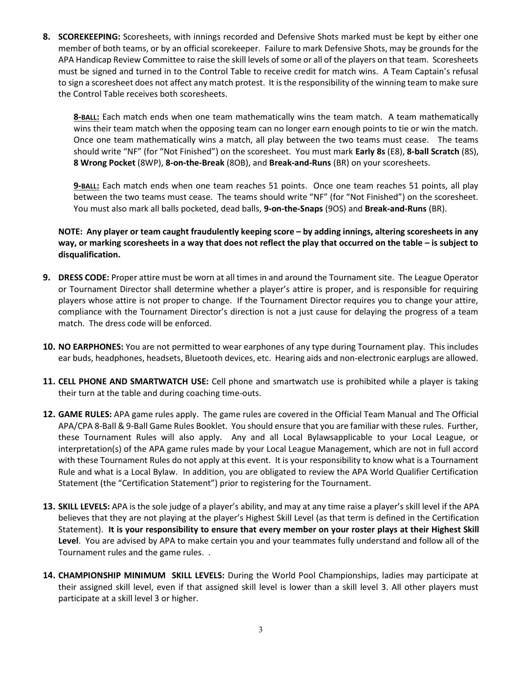8. SCOREKEEPING: Scoresheets, with innings recorded and Defensive Shots marked must be kept by either one member of both teams, or by an official scorekeeper. Failure to mark Defensive Shots, may be grounds for the APA Handicap Review Committee to raise the skill levels of some or all of the players on that team. Scoresheets must be signed and turned in to the Control Table to receive credit for match wins. A Team Captain's refusal to sign a scoresheet does not affect any match protest. It is the responsibility of the winning team to make sure the Control Table receives both scoresheets.

8-BALL: Each match ends when one team mathematically wins the team match. A team mathematically wins their team match when the opposing team can no longer earn enough points to tie or win the match. Once one team mathematically wins a match, all play between the two teams must cease. The teams should write "NF" (for "Not Finished") on the scoresheet. You must mark Early 8s (E8), 8-ball Scratch (8S), 8 Wrong Pocket (8WP), 8-on-the-Break (8OB), and Break-and-Runs (BR) on your scoresheets.

9-BALL: Each match ends when one team reaches 51 points. Once one team reaches 51 points, all play between the two teams must cease. The teams should write "NF" (for "Not Finished") on the scoresheet. You must also mark all balls pocketed, dead balls, 9-on-the-Snaps (9OS) and Break-and-Runs (BR).

# NOTE: Any player or team caught fraudulently keeping score – by adding innings, altering scoresheets in any way, or marking scoresheets in a way that does not reflect the play that occurred on the table – is subject to disqualification.

- 9. DRESS CODE: Proper attire must be worn at all times in and around the Tournament site. The League Operator or Tournament Director shall determine whether a player's attire is proper, and is responsible for requiring players whose attire is not proper to change. If the Tournament Director requires you to change your attire, compliance with the Tournament Director's direction is not a just cause for delaying the progress of a team match. The dress code will be enforced.
- 10. NO EARPHONES: You are not permitted to wear earphones of any type during Tournament play. This includes ear buds, headphones, headsets, Bluetooth devices, etc. Hearing aids and non-electronic earplugs are allowed.
- 11. CELL PHONE AND SMARTWATCH USE: Cell phone and smartwatch use is prohibited while a player is taking their turn at the table and during coaching time-outs.
- 12. GAME RULES: APA game rules apply. The game rules are covered in the Official Team Manual and The Official APA/CPA 8-Ball & 9-Ball Game Rules Booklet. You should ensure that you are familiar with these rules. Further, these Tournament Rules will also apply. Any and all Local Bylawsapplicable to your Local League, or interpretation(s) of the APA game rules made by your Local League Management, which are not in full accord with these Tournament Rules do not apply at this event. It is your responsibility to know what is a Tournament Rule and what is a Local Bylaw. In addition, you are obligated to review the APA World Qualifier Certification Statement (the "Certification Statement") prior to registering for the Tournament.
- 13. SKILL LEVELS: APA is the sole judge of a player's ability, and may at any time raise a player's skill level if the APA believes that they are not playing at the player's Highest Skill Level (as that term is defined in the Certification Statement). It is your responsibility to ensure that every member on your roster plays at their Highest Skill Level. You are advised by APA to make certain you and your teammates fully understand and follow all of the Tournament rules and the game rules. .
- 14. CHAMPIONSHIP MINIMUM SKILL LEVELS: During the World Pool Championships, ladies may participate at their assigned skill level, even if that assigned skill level is lower than a skill level 3. All other players must participate at a skill level 3 or higher.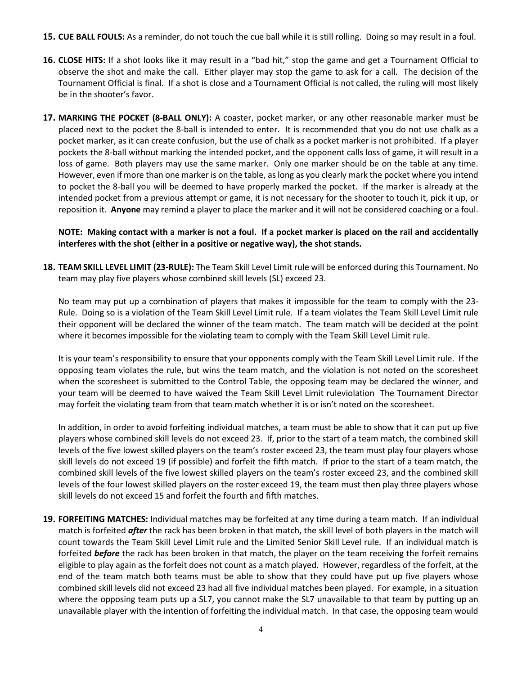- 15. CUE BALL FOULS: As a reminder, do not touch the cue ball while it is still rolling. Doing so may result in a foul.
- 16. CLOSE HITS: If a shot looks like it may result in a "bad hit," stop the game and get a Tournament Official to observe the shot and make the call. Either player may stop the game to ask for a call. The decision of the Tournament Official is final. If a shot is close and a Tournament Official is not called, the ruling will most likely be in the shooter's favor.
- 17. MARKING THE POCKET (8-BALL ONLY): A coaster, pocket marker, or any other reasonable marker must be placed next to the pocket the 8-ball is intended to enter. It is recommended that you do not use chalk as a pocket marker, as it can create confusion, but the use of chalk as a pocket marker is not prohibited. If a player pockets the 8-ball without marking the intended pocket, and the opponent calls loss of game, it will result in a loss of game. Both players may use the same marker. Only one marker should be on the table at any time. However, even if more than one marker is on the table, as long as you clearly mark the pocket where you intend to pocket the 8-ball you will be deemed to have properly marked the pocket. If the marker is already at the intended pocket from a previous attempt or game, it is not necessary for the shooter to touch it, pick it up, or reposition it. Anyone may remind a player to place the marker and it will not be considered coaching or a foul.

## NOTE: Making contact with a marker is not a foul. If a pocket marker is placed on the rail and accidentally interferes with the shot (either in a positive or negative way), the shot stands.

18. TEAM SKILL LEVEL LIMIT (23-RULE): The Team Skill Level Limit rule will be enforced during this Tournament. No team may play five players whose combined skill levels (SL) exceed 23.

No team may put up a combination of players that makes it impossible for the team to comply with the 23- Rule. Doing so is a violation of the Team Skill Level Limit rule. If a team violates the Team Skill Level Limit rule their opponent will be declared the winner of the team match. The team match will be decided at the point where it becomes impossible for the violating team to comply with the Team Skill Level Limit rule.

It is your team's responsibility to ensure that your opponents comply with the Team Skill Level Limit rule. If the opposing team violates the rule, but wins the team match, and the violation is not noted on the scoresheet when the scoresheet is submitted to the Control Table, the opposing team may be declared the winner, and your team will be deemed to have waived the Team Skill Level Limit ruleviolation The Tournament Director may forfeit the violating team from that team match whether it is or isn't noted on the scoresheet.

In addition, in order to avoid forfeiting individual matches, a team must be able to show that it can put up five players whose combined skill levels do not exceed 23. If, prior to the start of a team match, the combined skill levels of the five lowest skilled players on the team's roster exceed 23, the team must play four players whose skill levels do not exceed 19 (if possible) and forfeit the fifth match. If prior to the start of a team match, the combined skill levels of the five lowest skilled players on the team's roster exceed 23, and the combined skill levels of the four lowest skilled players on the roster exceed 19, the team must then play three players whose skill levels do not exceed 15 and forfeit the fourth and fifth matches.

19. FORFEITING MATCHES: Individual matches may be forfeited at any time during a team match. If an individual match is forfeited *after* the rack has been broken in that match, the skill level of both players in the match will count towards the Team Skill Level Limit rule and the Limited Senior Skill Level rule. If an individual match is forfeited before the rack has been broken in that match, the player on the team receiving the forfeit remains eligible to play again as the forfeit does not count as a match played. However, regardless of the forfeit, at the end of the team match both teams must be able to show that they could have put up five players whose combined skill levels did not exceed 23 had all five individual matches been played. For example, in a situation where the opposing team puts up a SL7, you cannot make the SL7 unavailable to that team by putting up an unavailable player with the intention of forfeiting the individual match. In that case, the opposing team would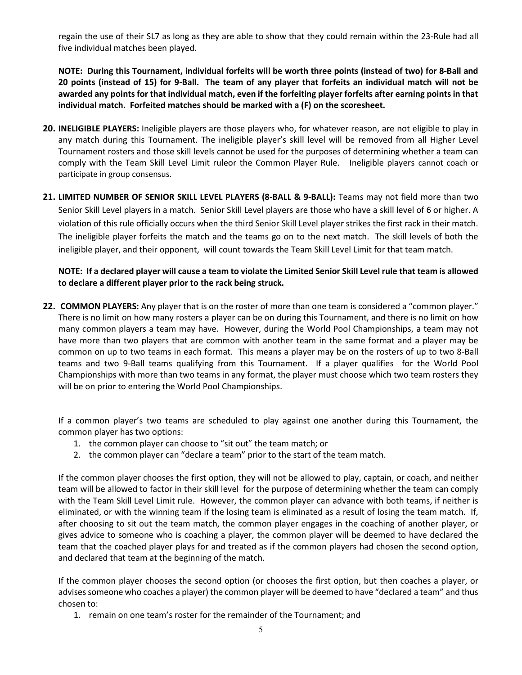regain the use of their SL7 as long as they are able to show that they could remain within the 23-Rule had all five individual matches been played.

NOTE: During this Tournament, individual forfeits will be worth three points (instead of two) for 8-Ball and 20 points (instead of 15) for 9-Ball. The team of any player that forfeits an individual match will not be awarded any points for that individual match, even if the forfeiting player forfeits after earning points in that individual match. Forfeited matches should be marked with a (F) on the scoresheet.

- 20. INELIGIBLE PLAYERS: Ineligible players are those players who, for whatever reason, are not eligible to play in any match during this Tournament. The ineligible player's skill level will be removed from all Higher Level Tournament rosters and those skill levels cannot be used for the purposes of determining whether a team can comply with the Team Skill Level Limit ruleor the Common Player Rule. Ineligible players cannot coach or participate in group consensus.
- 21. LIMITED NUMBER OF SENIOR SKILL LEVEL PLAYERS (8-BALL & 9-BALL): Teams may not field more than two Senior Skill Level players in a match. Senior Skill Level players are those who have a skill level of 6 or higher. A violation of this rule officially occurs when the third Senior Skill Level player strikes the first rack in their match. The ineligible player forfeits the match and the teams go on to the next match. The skill levels of both the ineligible player, and their opponent, will count towards the Team Skill Level Limit for that team match.

NOTE: If a declared player will cause a team to violate the Limited Senior Skill Level rule that team is allowed to declare a different player prior to the rack being struck.

22. COMMON PLAYERS: Any player that is on the roster of more than one team is considered a "common player." There is no limit on how many rosters a player can be on during this Tournament, and there is no limit on how many common players a team may have. However, during the World Pool Championships, a team may not have more than two players that are common with another team in the same format and a player may be common on up to two teams in each format. This means a player may be on the rosters of up to two 8-Ball teams and two 9-Ball teams qualifying from this Tournament. If a player qualifies for the World Pool Championships with more than two teams in any format, the player must choose which two team rosters they will be on prior to entering the World Pool Championships.

If a common player's two teams are scheduled to play against one another during this Tournament, the common player has two options:

- 1. the common player can choose to "sit out" the team match; or
- 2. the common player can "declare a team" prior to the start of the team match.

If the common player chooses the first option, they will not be allowed to play, captain, or coach, and neither team will be allowed to factor in their skill level for the purpose of determining whether the team can comply with the Team Skill Level Limit rule. However, the common player can advance with both teams, if neither is eliminated, or with the winning team if the losing team is eliminated as a result of losing the team match. If, after choosing to sit out the team match, the common player engages in the coaching of another player, or gives advice to someone who is coaching a player, the common player will be deemed to have declared the team that the coached player plays for and treated as if the common players had chosen the second option, and declared that team at the beginning of the match.

If the common player chooses the second option (or chooses the first option, but then coaches a player, or advises someone who coaches a player) the common player will be deemed to have "declared a team" and thus chosen to:

1. remain on one team's roster for the remainder of the Tournament; and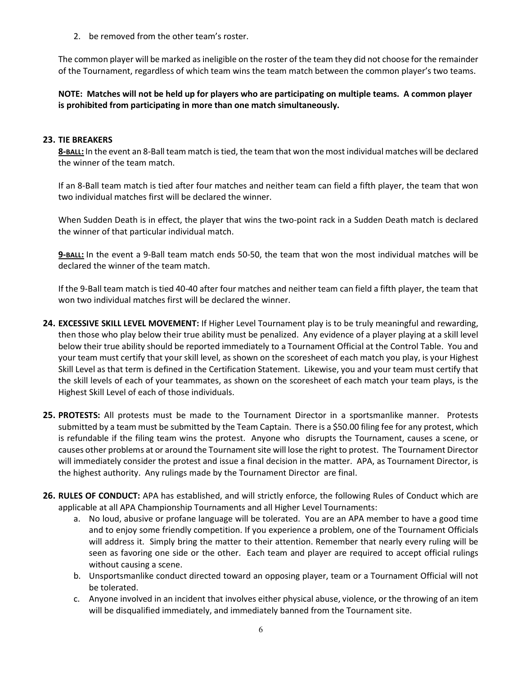2. be removed from the other team's roster.

The common player will be marked as ineligible on the roster of the team they did not choose for the remainder of the Tournament, regardless of which team wins the team match between the common player's two teams.

NOTE: Matches will not be held up for players who are participating on multiple teams. A common player is prohibited from participating in more than one match simultaneously.

#### 23. TIE BREAKERS

8-BALL: In the event an 8-Ball team match is tied, the team that won the most individual matches will be declared the winner of the team match.

If an 8-Ball team match is tied after four matches and neither team can field a fifth player, the team that won two individual matches first will be declared the winner.

When Sudden Death is in effect, the player that wins the two-point rack in a Sudden Death match is declared the winner of that particular individual match.

9-BALL: In the event a 9-Ball team match ends 50-50, the team that won the most individual matches will be declared the winner of the team match.

If the 9-Ball team match is tied 40-40 after four matches and neither team can field a fifth player, the team that won two individual matches first will be declared the winner.

- 24. EXCESSIVE SKILL LEVEL MOVEMENT: If Higher Level Tournament play is to be truly meaningful and rewarding, then those who play below their true ability must be penalized. Any evidence of a player playing at a skill level below their true ability should be reported immediately to a Tournament Official at the Control Table. You and your team must certify that your skill level, as shown on the scoresheet of each match you play, is your Highest Skill Level as that term is defined in the Certification Statement. Likewise, you and your team must certify that the skill levels of each of your teammates, as shown on the scoresheet of each match your team plays, is the Highest Skill Level of each of those individuals.
- 25. PROTESTS: All protests must be made to the Tournament Director in a sportsmanlike manner. Protests submitted by a team must be submitted by the Team Captain. There is a \$50.00 filing fee for any protest, which is refundable if the filing team wins the protest. Anyone who disrupts the Tournament, causes a scene, or causes other problems at or around the Tournament site will lose the right to protest. The Tournament Director will immediately consider the protest and issue a final decision in the matter. APA, as Tournament Director, is the highest authority. Any rulings made by the Tournament Director are final.
- 26. RULES OF CONDUCT: APA has established, and will strictly enforce, the following Rules of Conduct which are applicable at all APA Championship Tournaments and all Higher Level Tournaments:
	- a. No loud, abusive or profane language will be tolerated. You are an APA member to have a good time and to enjoy some friendly competition. If you experience a problem, one of the Tournament Officials will address it. Simply bring the matter to their attention. Remember that nearly every ruling will be seen as favoring one side or the other. Each team and player are required to accept official rulings without causing a scene.
	- b. Unsportsmanlike conduct directed toward an opposing player, team or a Tournament Official will not be tolerated.
	- c. Anyone involved in an incident that involves either physical abuse, violence, or the throwing of an item will be disqualified immediately, and immediately banned from the Tournament site.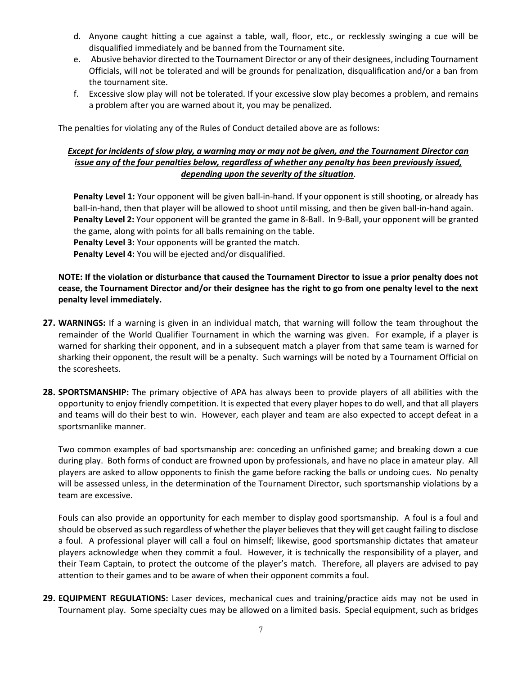- d. Anyone caught hitting a cue against a table, wall, floor, etc., or recklessly swinging a cue will be disqualified immediately and be banned from the Tournament site.
- e. Abusive behavior directed to the Tournament Director or any of their designees, including Tournament Officials, will not be tolerated and will be grounds for penalization, disqualification and/or a ban from the tournament site.
- f. Excessive slow play will not be tolerated. If your excessive slow play becomes a problem, and remains a problem after you are warned about it, you may be penalized.

The penalties for violating any of the Rules of Conduct detailed above are as follows:

## Except for incidents of slow play, a warning may or may not be given, and the Tournament Director can issue any of the four penalties below, regardless of whether any penalty has been previously issued, depending upon the severity of the situation.

Penalty Level 1: Your opponent will be given ball-in-hand. If your opponent is still shooting, or already has ball-in-hand, then that player will be allowed to shoot until missing, and then be given ball-in-hand again. Penalty Level 2: Your opponent will be granted the game in 8-Ball. In 9-Ball, your opponent will be granted the game, along with points for all balls remaining on the table.

Penalty Level 3: Your opponents will be granted the match.

Penalty Level 4: You will be ejected and/or disqualified.

## NOTE: If the violation or disturbance that caused the Tournament Director to issue a prior penalty does not cease, the Tournament Director and/or their designee has the right to go from one penalty level to the next penalty level immediately.

- 27. WARNINGS: If a warning is given in an individual match, that warning will follow the team throughout the remainder of the World Qualifier Tournament in which the warning was given. For example, if a player is warned for sharking their opponent, and in a subsequent match a player from that same team is warned for sharking their opponent, the result will be a penalty. Such warnings will be noted by a Tournament Official on the scoresheets.
- 28. SPORTSMANSHIP: The primary objective of APA has always been to provide players of all abilities with the opportunity to enjoy friendly competition. It is expected that every player hopes to do well, and that all players and teams will do their best to win. However, each player and team are also expected to accept defeat in a sportsmanlike manner.

Two common examples of bad sportsmanship are: conceding an unfinished game; and breaking down a cue during play. Both forms of conduct are frowned upon by professionals, and have no place in amateur play. All players are asked to allow opponents to finish the game before racking the balls or undoing cues. No penalty will be assessed unless, in the determination of the Tournament Director, such sportsmanship violations by a team are excessive.

Fouls can also provide an opportunity for each member to display good sportsmanship. A foul is a foul and should be observed as such regardless of whether the player believes that they will get caught failing to disclose a foul. A professional player will call a foul on himself; likewise, good sportsmanship dictates that amateur players acknowledge when they commit a foul. However, it is technically the responsibility of a player, and their Team Captain, to protect the outcome of the player's match. Therefore, all players are advised to pay attention to their games and to be aware of when their opponent commits a foul.

29. EQUIPMENT REGULATIONS: Laser devices, mechanical cues and training/practice aids may not be used in Tournament play. Some specialty cues may be allowed on a limited basis. Special equipment, such as bridges